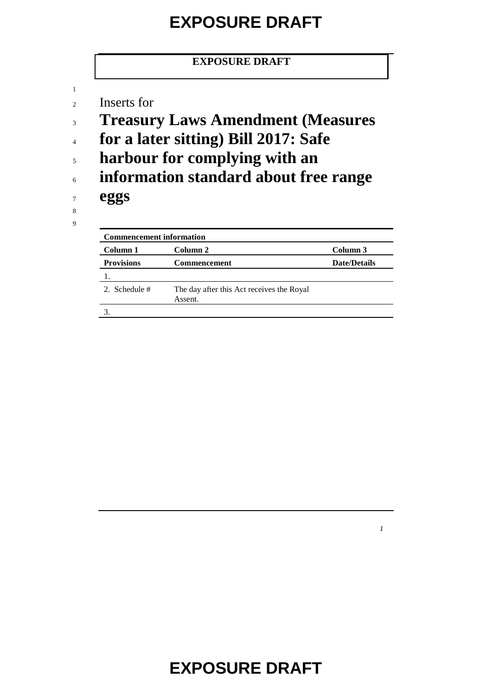#### **EXPOSURE DRAFT**

#### **EXPOSURE DRAFT**

<sup>2</sup> Inserts for

- <sup>3</sup> **Treasury Laws Amendment (Measures**
- <sup>4</sup> **for a later sitting) Bill 2017: Safe**
- <sup>5</sup> **harbour for complying with an**
- <sup>6</sup> **information standard about free range**

<sup>7</sup> **eggs**

8 9

1

| <b>Commencement information</b> |                                                      |                     |
|---------------------------------|------------------------------------------------------|---------------------|
| Column 1                        | Column 2                                             | Column 3            |
| <b>Provisions</b>               | <b>Commencement</b>                                  | <b>Date/Details</b> |
|                                 |                                                      |                     |
| 2. Schedule #                   | The day after this Act receives the Royal<br>Assent. |                     |
|                                 |                                                      |                     |

**EXPOSURE DRAFT**

*1*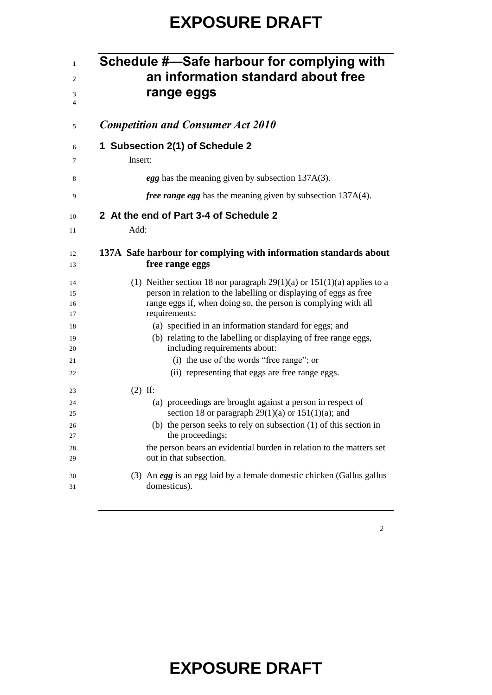### **EXPOSURE DRAFT**

|                                            | Schedule #—Safe harbour for complying with<br>an information standard about free<br>range eggs                                                                                                                                      |  |  |
|--------------------------------------------|-------------------------------------------------------------------------------------------------------------------------------------------------------------------------------------------------------------------------------------|--|--|
| <b>Competition and Consumer Act 2010</b>   |                                                                                                                                                                                                                                     |  |  |
| 1 Subsection 2(1) of Schedule 2<br>Insert: |                                                                                                                                                                                                                                     |  |  |
|                                            | egg has the meaning given by subsection 137A(3).                                                                                                                                                                                    |  |  |
|                                            | <i>free range egg</i> has the meaning given by subsection 137A(4).                                                                                                                                                                  |  |  |
|                                            | 2 At the end of Part 3-4 of Schedule 2                                                                                                                                                                                              |  |  |
|                                            | Add:                                                                                                                                                                                                                                |  |  |
|                                            | 137A Safe harbour for complying with information standards about<br>free range eggs                                                                                                                                                 |  |  |
|                                            | (1) Neither section 18 nor paragraph $29(1)(a)$ or $151(1)(a)$ applies to a<br>person in relation to the labelling or displaying of eggs as free<br>range eggs if, when doing so, the person is complying with all<br>requirements: |  |  |
|                                            | (a) specified in an information standard for eggs; and<br>(b) relating to the labelling or displaying of free range eggs,<br>including requirements about:                                                                          |  |  |
|                                            | (i) the use of the words "free range"; or                                                                                                                                                                                           |  |  |
|                                            | (ii) representing that eggs are free range eggs.                                                                                                                                                                                    |  |  |
|                                            | $(2)$ If:                                                                                                                                                                                                                           |  |  |
|                                            | (a) proceedings are brought against a person in respect of                                                                                                                                                                          |  |  |
|                                            | section 18 or paragraph $29(1)(a)$ or $151(1)(a)$ ; and<br>(b) the person seeks to rely on subsection $(1)$ of this section in                                                                                                      |  |  |
|                                            | the proceedings;                                                                                                                                                                                                                    |  |  |
|                                            | the person bears an evidential burden in relation to the matters set<br>out in that subsection.                                                                                                                                     |  |  |
|                                            | (3) An egg is an egg laid by a female domestic chicken (Gallus gallus<br>domesticus).                                                                                                                                               |  |  |

# **EXPOSURE DRAFT**